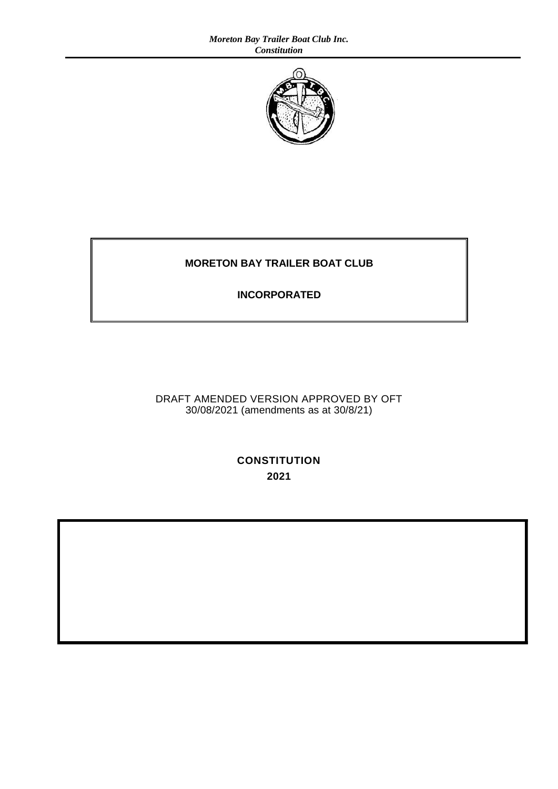

# **MORETON BAY TRAILER BOAT CLUB**

# **INCORPORATED**

DRAFT AMENDED VERSION APPROVED BY OFT 30/08/2021 (amendments as at 30/8/21)

> **CONSTITUTION 2021**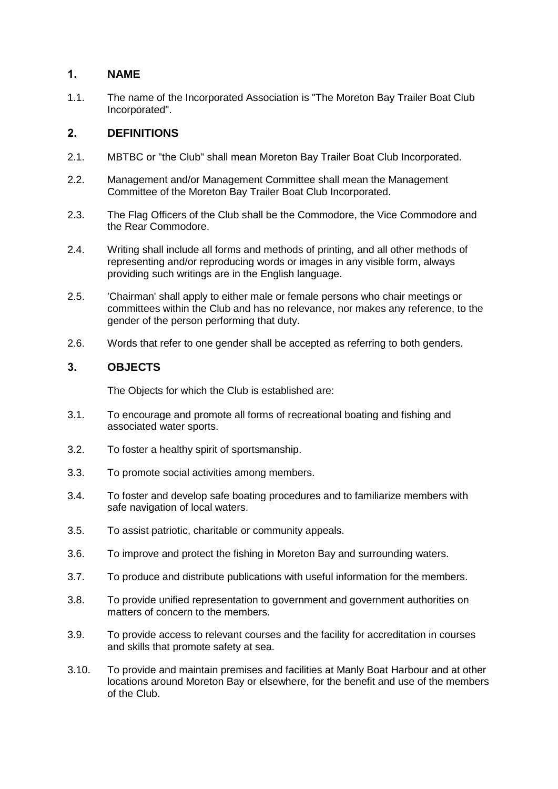# **1. NAME**

1.1. The name of the Incorporated Association is "The Moreton Bay Trailer Boat Club Incorporated".

# **2. DEFINITIONS**

- 2.1. MBTBC or "the Club" shall mean Moreton Bay Trailer Boat Club Incorporated.
- 2.2. Management and/or Management Committee shall mean the Management Committee of the Moreton Bay Trailer Boat Club Incorporated.
- 2.3. The Flag Officers of the Club shall be the Commodore, the Vice Commodore and the Rear Commodore.
- 2.4. Writing shall include all forms and methods of printing, and all other methods of representing and/or reproducing words or images in any visible form, always providing such writings are in the English language.
- 2.5. 'Chairman' shall apply to either male or female persons who chair meetings or committees within the Club and has no relevance, nor makes any reference, to the gender of the person performing that duty.
- 2.6. Words that refer to one gender shall be accepted as referring to both genders.

# **3. OBJECTS**

The Objects for which the Club is established are:

- 3.1. To encourage and promote all forms of recreational boating and fishing and associated water sports.
- 3.2. To foster a healthy spirit of sportsmanship.
- 3.3. To promote social activities among members.
- 3.4. To foster and develop safe boating procedures and to familiarize members with safe navigation of local waters.
- 3.5. To assist patriotic, charitable or community appeals.
- 3.6. To improve and protect the fishing in Moreton Bay and surrounding waters.
- 3.7. To produce and distribute publications with useful information for the members.
- 3.8. To provide unified representation to government and government authorities on matters of concern to the members.
- 3.9. To provide access to relevant courses and the facility for accreditation in courses and skills that promote safety at sea.
- 3.10. To provide and maintain premises and facilities at Manly Boat Harbour and at other locations around Moreton Bay or elsewhere, for the benefit and use of the members of the Club.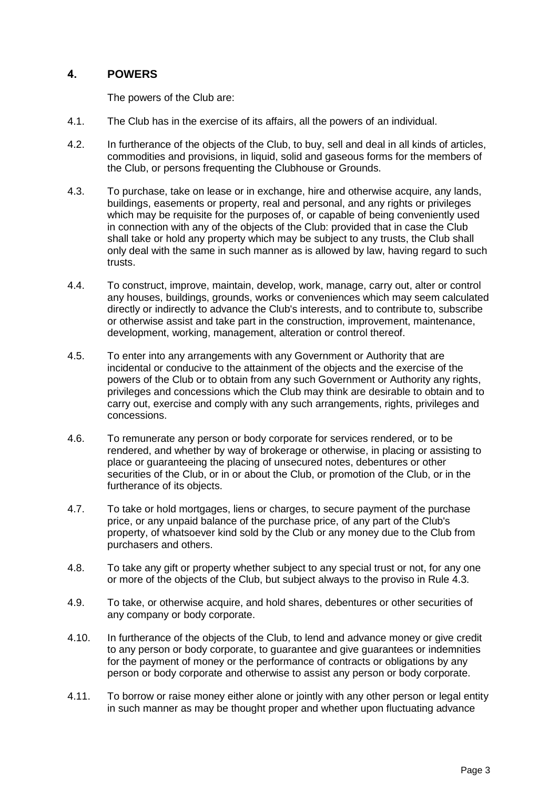# **4. POWERS**

The powers of the Club are:

- 4.1. The Club has in the exercise of its affairs, all the powers of an individual.
- 4.2. In furtherance of the objects of the Club, to buy, sell and deal in all kinds of articles, commodities and provisions, in liquid, solid and gaseous forms for the members of the Club, or persons frequenting the Clubhouse or Grounds.
- 4.3. To purchase, take on lease or in exchange, hire and otherwise acquire, any lands, buildings, easements or property, real and personal, and any rights or privileges which may be requisite for the purposes of, or capable of being conveniently used in connection with any of the objects of the Club: provided that in case the Club shall take or hold any property which may be subject to any trusts, the Club shall only deal with the same in such manner as is allowed by law, having regard to such trusts.
- 4.4. To construct, improve, maintain, develop, work, manage, carry out, alter or control any houses, buildings, grounds, works or conveniences which may seem calculated directly or indirectly to advance the Club's interests, and to contribute to, subscribe or otherwise assist and take part in the construction, improvement, maintenance, development, working, management, alteration or control thereof.
- 4.5. To enter into any arrangements with any Government or Authority that are incidental or conducive to the attainment of the objects and the exercise of the powers of the Club or to obtain from any such Government or Authority any rights, privileges and concessions which the Club may think are desirable to obtain and to carry out, exercise and comply with any such arrangements, rights, privileges and concessions.
- 4.6. To remunerate any person or body corporate for services rendered, or to be rendered, and whether by way of brokerage or otherwise, in placing or assisting to place or guaranteeing the placing of unsecured notes, debentures or other securities of the Club, or in or about the Club, or promotion of the Club, or in the furtherance of its objects.
- 4.7. To take or hold mortgages, liens or charges, to secure payment of the purchase price, or any unpaid balance of the purchase price, of any part of the Club's property, of whatsoever kind sold by the Club or any money due to the Club from purchasers and others.
- 4.8. To take any gift or property whether subject to any special trust or not, for any one or more of the objects of the Club, but subject always to the proviso in Rule 4.3.
- 4.9. To take, or otherwise acquire, and hold shares, debentures or other securities of any company or body corporate.
- 4.10. In furtherance of the objects of the Club, to lend and advance money or give credit to any person or body corporate, to guarantee and give guarantees or indemnities for the payment of money or the performance of contracts or obligations by any person or body corporate and otherwise to assist any person or body corporate.
- 4.11. To borrow or raise money either alone or jointly with any other person or legal entity in such manner as may be thought proper and whether upon fluctuating advance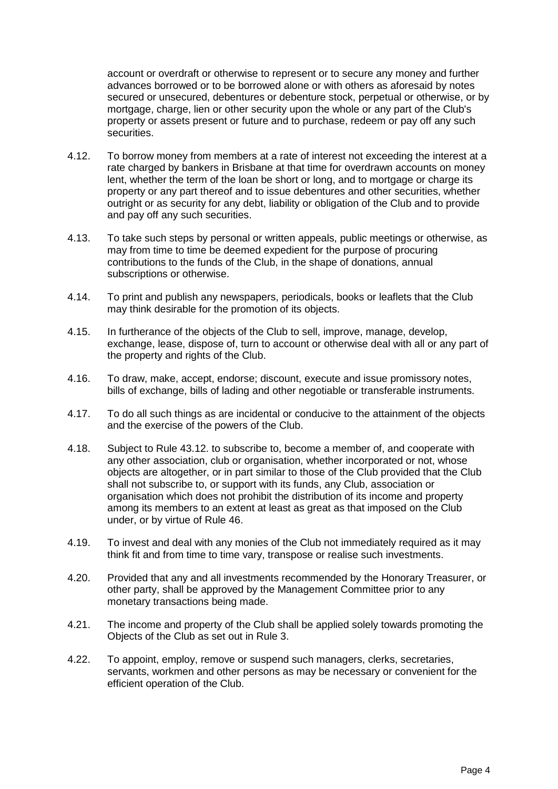account or overdraft or otherwise to represent or to secure any money and further advances borrowed or to be borrowed alone or with others as aforesaid by notes secured or unsecured, debentures or debenture stock, perpetual or otherwise, or by mortgage, charge, lien or other security upon the whole or any part of the Club's property or assets present or future and to purchase, redeem or pay off any such securities.

- 4.12. To borrow money from members at a rate of interest not exceeding the interest at a rate charged by bankers in Brisbane at that time for overdrawn accounts on money lent, whether the term of the loan be short or long, and to mortgage or charge its property or any part thereof and to issue debentures and other securities, whether outright or as security for any debt, liability or obligation of the Club and to provide and pay off any such securities.
- 4.13. To take such steps by personal or written appeals, public meetings or otherwise, as may from time to time be deemed expedient for the purpose of procuring contributions to the funds of the Club, in the shape of donations, annual subscriptions or otherwise.
- 4.14. To print and publish any newspapers, periodicals, books or leaflets that the Club may think desirable for the promotion of its objects.
- 4.15. In furtherance of the objects of the Club to sell, improve, manage, develop, exchange, lease, dispose of, turn to account or otherwise deal with all or any part of the property and rights of the Club.
- 4.16. To draw, make, accept, endorse; discount, execute and issue promissory notes, bills of exchange, bills of lading and other negotiable or transferable instruments.
- 4.17. To do all such things as are incidental or conducive to the attainment of the objects and the exercise of the powers of the Club.
- 4.18. Subject to Rule 43.12. to subscribe to, become a member of, and cooperate with any other association, club or organisation, whether incorporated or not, whose objects are altogether, or in part similar to those of the Club provided that the Club shall not subscribe to, or support with its funds, any Club, association or organisation which does not prohibit the distribution of its income and property among its members to an extent at least as great as that imposed on the Club under, or by virtue of Rule 46.
- 4.19. To invest and deal with any monies of the Club not immediately required as it may think fit and from time to time vary, transpose or realise such investments.
- 4.20. Provided that any and all investments recommended by the Honorary Treasurer, or other party, shall be approved by the Management Committee prior to any monetary transactions being made.
- 4.21. The income and property of the Club shall be applied solely towards promoting the Objects of the Club as set out in Rule 3.
- 4.22. To appoint, employ, remove or suspend such managers, clerks, secretaries, servants, workmen and other persons as may be necessary or convenient for the efficient operation of the Club.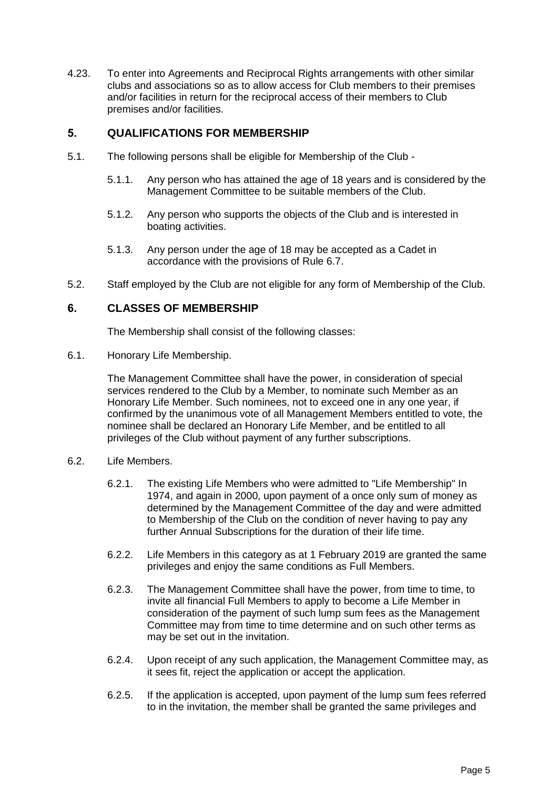4.23. To enter into Agreements and Reciprocal Rights arrangements with other similar clubs and associations so as to allow access for Club members to their premises and/or facilities in return for the reciprocal access of their members to Club premises and/or facilities.

# **5. QUALIFICATIONS FOR MEMBERSHIP**

- 5.1. The following persons shall be eligible for Membership of the Club
	- 5.1.1. Any person who has attained the age of 18 years and is considered by the Management Committee to be suitable members of the Club.
	- 5.1.2. Any person who supports the objects of the Club and is interested in boating activities.
	- 5.1.3. Any person under the age of 18 may be accepted as a Cadet in accordance with the provisions of Rule 6.7.
- 5.2. Staff employed by the Club are not eligible for any form of Membership of the Club.

# **6. CLASSES OF MEMBERSHIP**

The Membership shall consist of the following classes:

6.1. Honorary Life Membership.

The Management Committee shall have the power, in consideration of special services rendered to the Club by a Member, to nominate such Member as an Honorary Life Member. Such nominees, not to exceed one in any one year, if confirmed by the unanimous vote of all Management Members entitled to vote, the nominee shall be declared an Honorary Life Member, and be entitled to all privileges of the Club without payment of any further subscriptions.

- 6.2. Life Members.
	- 6.2.1. The existing Life Members who were admitted to "Life Membership" In 1974, and again in 2000, upon payment of a once only sum of money as determined by the Management Committee of the day and were admitted to Membership of the Club on the condition of never having to pay any further Annual Subscriptions for the duration of their life time.
	- 6.2.2. Life Members in this category as at 1 February 2019 are granted the same privileges and enjoy the same conditions as Full Members.
	- 6.2.3. The Management Committee shall have the power, from time to time, to invite all financial Full Members to apply to become a Life Member in consideration of the payment of such lump sum fees as the Management Committee may from time to time determine and on such other terms as may be set out in the invitation.
	- 6.2.4. Upon receipt of any such application, the Management Committee may, as it sees fit, reject the application or accept the application.
	- 6.2.5. If the application is accepted, upon payment of the lump sum fees referred to in the invitation, the member shall be granted the same privileges and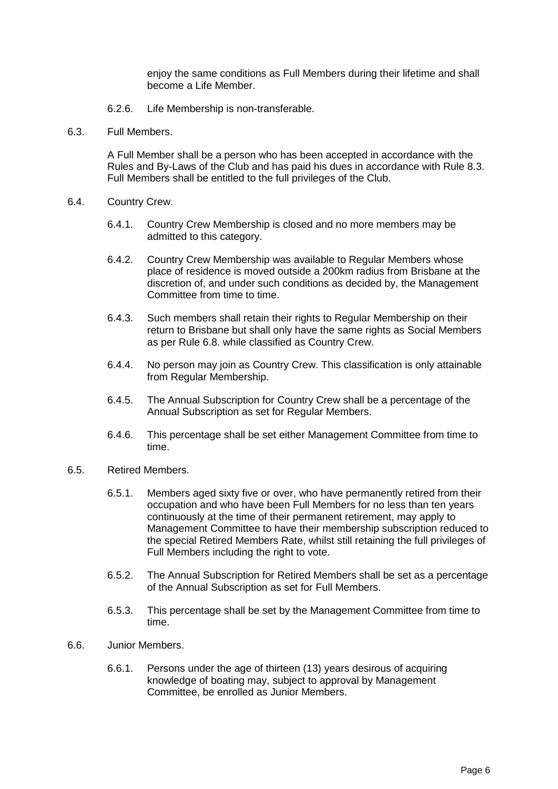enjoy the same conditions as Full Members during their lifetime and shall become a Life Member.

- 6.2.6. Life Membership is non-transferable.
- 6.3. Full Members.

A Full Member shall be a person who has been accepted in accordance with the Rules and By-Laws of the Club and has paid his dues in accordance with Rule 8.3. Full Members shall be entitled to the full privileges of the Club.

- 6.4. Country Crew.
	- 6.4.1. Country Crew Membership is closed and no more members may be admitted to this category.
	- 6.4.2. Country Crew Membership was available to Regular Members whose place of residence is moved outside a 200km radius from Brisbane at the discretion of, and under such conditions as decided by, the Management Committee from time to time.
	- 6.4.3. Such members shall retain their rights to Regular Membership on their return to Brisbane but shall only have the same rights as Social Members as per Rule 6.8. while classified as Country Crew.
	- 6.4.4. No person may join as Country Crew. This classification is only attainable from Regular Membership.
	- 6.4.5. The Annual Subscription for Country Crew shall be a percentage of the Annual Subscription as set for Regular Members.
	- 6.4.6. This percentage shall be set either Management Committee from time to time.
- 6.5. Retired Members.
	- 6.5.1. Members aged sixty five or over, who have permanently retired from their occupation and who have been Full Members for no less than ten years continuously at the time of their permanent retirement, may apply to Management Committee to have their membership subscription reduced to the special Retired Members Rate, whilst still retaining the full privileges of Full Members including the right to vote.
	- 6.5.2. The Annual Subscription for Retired Members shall be set as a percentage of the Annual Subscription as set for Full Members.
	- 6.5.3. This percentage shall be set by the Management Committee from time to time.
- 6.6. Junior Members.
	- 6.6.1. Persons under the age of thirteen (13) years desirous of acquiring knowledge of boating may, subject to approval by Management Committee, be enrolled as Junior Members.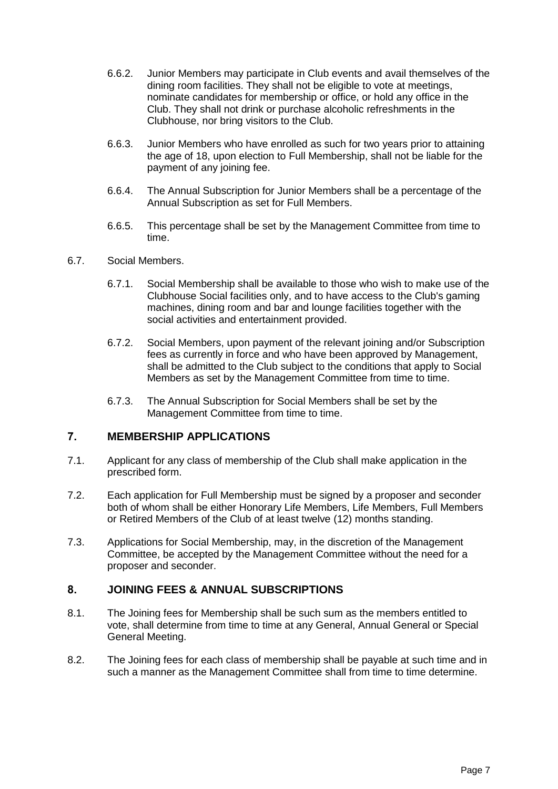- 6.6.2. Junior Members may participate in Club events and avail themselves of the dining room facilities. They shall not be eligible to vote at meetings, nominate candidates for membership or office, or hold any office in the Club. They shall not drink or purchase alcoholic refreshments in the Clubhouse, nor bring visitors to the Club.
- 6.6.3. Junior Members who have enrolled as such for two years prior to attaining the age of 18, upon election to Full Membership, shall not be liable for the payment of any joining fee.
- 6.6.4. The Annual Subscription for Junior Members shall be a percentage of the Annual Subscription as set for Full Members.
- 6.6.5. This percentage shall be set by the Management Committee from time to time.

#### 6.7. Social Members.

- 6.7.1. Social Membership shall be available to those who wish to make use of the Clubhouse Social facilities only, and to have access to the Club's gaming machines, dining room and bar and lounge facilities together with the social activities and entertainment provided.
- 6.7.2. Social Members, upon payment of the relevant joining and/or Subscription fees as currently in force and who have been approved by Management, shall be admitted to the Club subject to the conditions that apply to Social Members as set by the Management Committee from time to time.
- 6.7.3. The Annual Subscription for Social Members shall be set by the Management Committee from time to time.

# **7. MEMBERSHIP APPLICATIONS**

- 7.1. Applicant for any class of membership of the Club shall make application in the prescribed form.
- 7.2. Each application for Full Membership must be signed by a proposer and seconder both of whom shall be either Honorary Life Members, Life Members, Full Members or Retired Members of the Club of at least twelve (12) months standing.
- 7.3. Applications for Social Membership, may, in the discretion of the Management Committee, be accepted by the Management Committee without the need for a proposer and seconder.

### **8. JOINING FEES & ANNUAL SUBSCRIPTIONS**

- 8.1. The Joining fees for Membership shall be such sum as the members entitled to vote, shall determine from time to time at any General, Annual General or Special General Meeting.
- 8.2. The Joining fees for each class of membership shall be payable at such time and in such a manner as the Management Committee shall from time to time determine.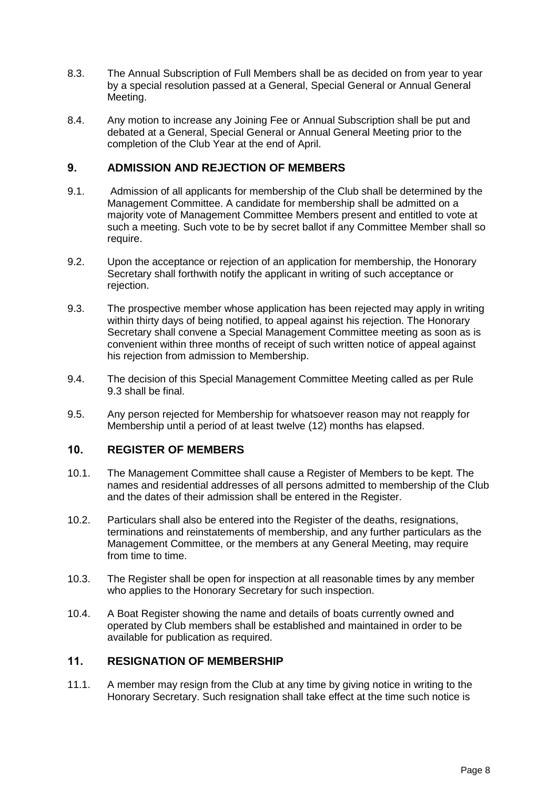- 8.3. The Annual Subscription of Full Members shall be as decided on from year to year by a special resolution passed at a General, Special General or Annual General Meeting.
- 8.4. Any motion to increase any Joining Fee or Annual Subscription shall be put and debated at a General, Special General or Annual General Meeting prior to the completion of the Club Year at the end of April.

### **9. ADMISSION AND REJECTION OF MEMBERS**

- 9.1. Admission of all applicants for membership of the Club shall be determined by the Management Committee. A candidate for membership shall be admitted on a majority vote of Management Committee Members present and entitled to vote at such a meeting. Such vote to be by secret ballot if any Committee Member shall so require.
- 9.2. Upon the acceptance or rejection of an application for membership, the Honorary Secretary shall forthwith notify the applicant in writing of such acceptance or rejection.
- 9.3. The prospective member whose application has been rejected may apply in writing within thirty days of being notified, to appeal against his rejection. The Honorary Secretary shall convene a Special Management Committee meeting as soon as is convenient within three months of receipt of such written notice of appeal against his rejection from admission to Membership.
- 9.4. The decision of this Special Management Committee Meeting called as per Rule 9.3 shall be final.
- 9.5. Any person rejected for Membership for whatsoever reason may not reapply for Membership until a period of at least twelve (12) months has elapsed.

### **10. REGISTER OF MEMBERS**

- 10.1. The Management Committee shall cause a Register of Members to be kept. The names and residential addresses of all persons admitted to membership of the Club and the dates of their admission shall be entered in the Register.
- 10.2. Particulars shall also be entered into the Register of the deaths, resignations, terminations and reinstatements of membership, and any further particulars as the Management Committee, or the members at any General Meeting, may require from time to time.
- 10.3. The Register shall be open for inspection at all reasonable times by any member who applies to the Honorary Secretary for such inspection.
- 10.4. A Boat Register showing the name and details of boats currently owned and operated by Club members shall be established and maintained in order to be available for publication as required.

# **11. RESIGNATION OF MEMBERSHIP**

11.1. A member may resign from the Club at any time by giving notice in writing to the Honorary Secretary. Such resignation shall take effect at the time such notice is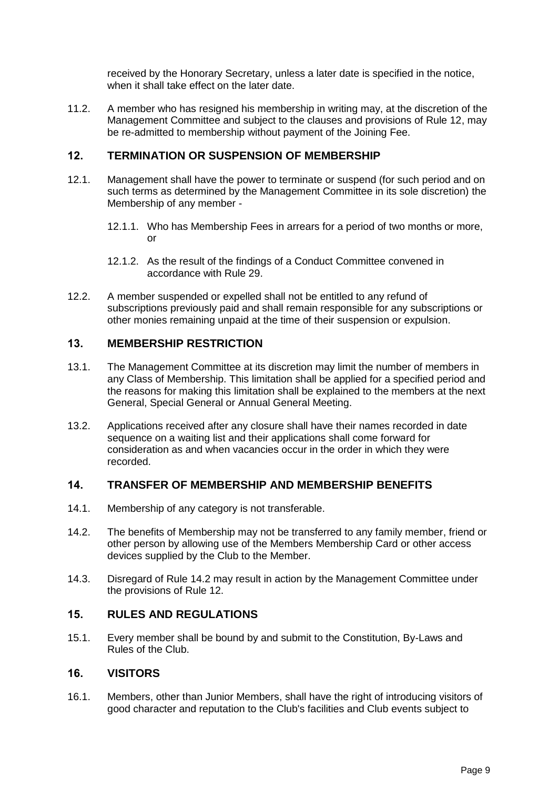received by the Honorary Secretary, unless a later date is specified in the notice, when it shall take effect on the later date.

11.2. A member who has resigned his membership in writing may, at the discretion of the Management Committee and subject to the clauses and provisions of Rule 12, may be re-admitted to membership without payment of the Joining Fee.

### **12. TERMINATION OR SUSPENSION OF MEMBERSHIP**

- 12.1. Management shall have the power to terminate or suspend (for such period and on such terms as determined by the Management Committee in its sole discretion) the Membership of any member -
	- 12.1.1. Who has Membership Fees in arrears for a period of two months or more, or
	- 12.1.2. As the result of the findings of a Conduct Committee convened in accordance with Rule 29.
- 12.2. A member suspended or expelled shall not be entitled to any refund of subscriptions previously paid and shall remain responsible for any subscriptions or other monies remaining unpaid at the time of their suspension or expulsion.

# **13. MEMBERSHIP RESTRICTION**

- 13.1. The Management Committee at its discretion may limit the number of members in any Class of Membership. This limitation shall be applied for a specified period and the reasons for making this limitation shall be explained to the members at the next General, Special General or Annual General Meeting.
- 13.2. Applications received after any closure shall have their names recorded in date sequence on a waiting list and their applications shall come forward for consideration as and when vacancies occur in the order in which they were recorded.

### **14. TRANSFER OF MEMBERSHIP AND MEMBERSHIP BENEFITS**

- 14.1. Membership of any category is not transferable.
- 14.2. The benefits of Membership may not be transferred to any family member, friend or other person by allowing use of the Members Membership Card or other access devices supplied by the Club to the Member.
- 14.3. Disregard of Rule 14.2 may result in action by the Management Committee under the provisions of Rule 12.

# **15. RULES AND REGULATIONS**

15.1. Every member shall be bound by and submit to the Constitution, By-Laws and Rules of the Club.

### **16. VISITORS**

16.1. Members, other than Junior Members, shall have the right of introducing visitors of good character and reputation to the Club's facilities and Club events subject to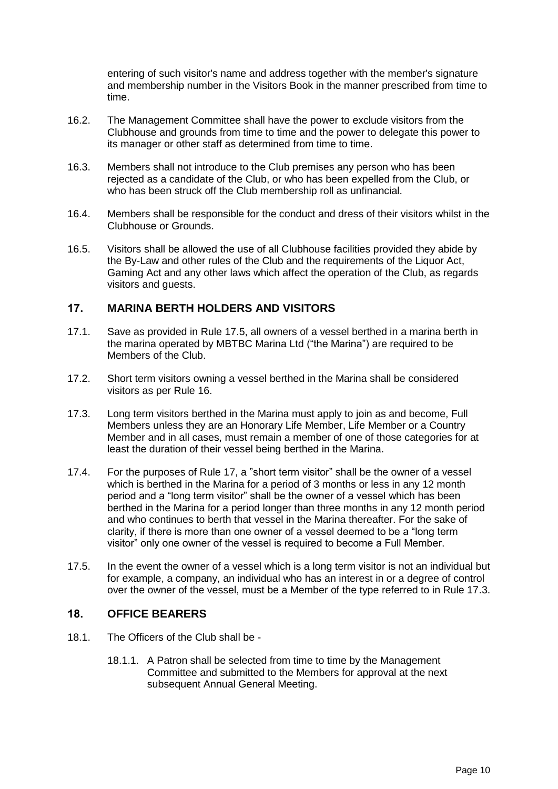entering of such visitor's name and address together with the member's signature and membership number in the Visitors Book in the manner prescribed from time to time.

- 16.2. The Management Committee shall have the power to exclude visitors from the Clubhouse and grounds from time to time and the power to delegate this power to its manager or other staff as determined from time to time.
- 16.3. Members shall not introduce to the Club premises any person who has been rejected as a candidate of the Club, or who has been expelled from the Club, or who has been struck off the Club membership roll as unfinancial.
- 16.4. Members shall be responsible for the conduct and dress of their visitors whilst in the Clubhouse or Grounds.
- 16.5. Visitors shall be allowed the use of all Clubhouse facilities provided they abide by the By-Law and other rules of the Club and the requirements of the Liquor Act, Gaming Act and any other laws which affect the operation of the Club, as regards visitors and guests.

### **17. MARINA BERTH HOLDERS AND VISITORS**

- 17.1. Save as provided in Rule 17.5, all owners of a vessel berthed in a marina berth in the marina operated by MBTBC Marina Ltd ("the Marina") are required to be Members of the Club.
- 17.2. Short term visitors owning a vessel berthed in the Marina shall be considered visitors as per Rule 16.
- 17.3. Long term visitors berthed in the Marina must apply to join as and become, Full Members unless they are an Honorary Life Member, Life Member or a Country Member and in all cases, must remain a member of one of those categories for at least the duration of their vessel being berthed in the Marina.
- 17.4. For the purposes of Rule 17, a "short term visitor" shall be the owner of a vessel which is berthed in the Marina for a period of 3 months or less in any 12 month period and a "long term visitor" shall be the owner of a vessel which has been berthed in the Marina for a period longer than three months in any 12 month period and who continues to berth that vessel in the Marina thereafter. For the sake of clarity, if there is more than one owner of a vessel deemed to be a "long term visitor" only one owner of the vessel is required to become a Full Member.
- 17.5. In the event the owner of a vessel which is a long term visitor is not an individual but for example, a company, an individual who has an interest in or a degree of control over the owner of the vessel, must be a Member of the type referred to in Rule 17.3.

### **18. OFFICE BEARERS**

- 18.1. The Officers of the Club shall be
	- 18.1.1. A Patron shall be selected from time to time by the Management Committee and submitted to the Members for approval at the next subsequent Annual General Meeting.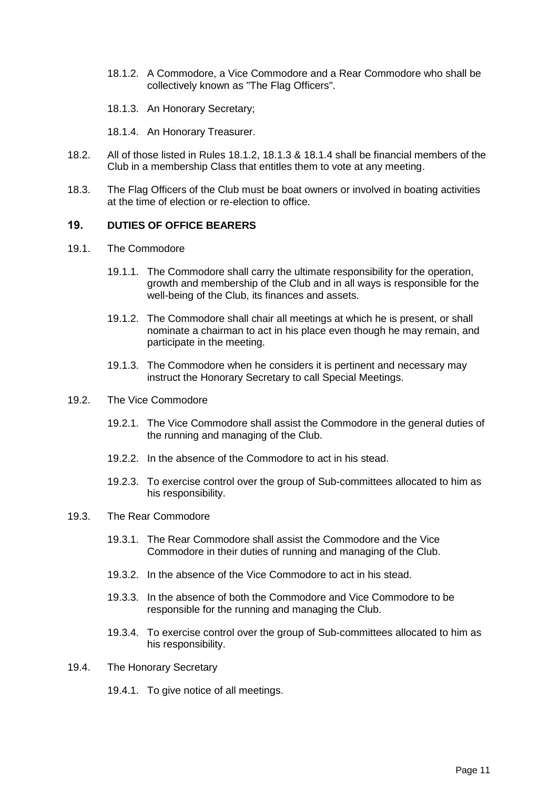- 18.1.2. A Commodore, a Vice Commodore and a Rear Commodore who shall be collectively known as "The Flag Officers".
- 18.1.3. An Honorary Secretary;

18.1.4. An Honorary Treasurer.

- 18.2. All of those listed in Rules 18.1.2, 18.1.3 & 18.1.4 shall be financial members of the Club in a membership Class that entitles them to vote at any meeting.
- 18.3. The Flag Officers of the Club must be boat owners or involved in boating activities at the time of election or re-election to office.

### **19. DUTIES OF OFFICE BEARERS**

- 19.1. The Commodore
	- 19.1.1. The Commodore shall carry the ultimate responsibility for the operation, growth and membership of the Club and in all ways is responsible for the well-being of the Club, its finances and assets.
	- 19.1.2. The Commodore shall chair all meetings at which he is present, or shall nominate a chairman to act in his place even though he may remain, and participate in the meeting.
	- 19.1.3. The Commodore when he considers it is pertinent and necessary may instruct the Honorary Secretary to call Special Meetings.
- 19.2. The Vice Commodore
	- 19.2.1. The Vice Commodore shall assist the Commodore in the general duties of the running and managing of the Club.
	- 19.2.2. In the absence of the Commodore to act in his stead.
	- 19.2.3. To exercise control over the group of Sub-committees allocated to him as his responsibility.
- 19.3. The Rear Commodore
	- 19.3.1. The Rear Commodore shall assist the Commodore and the Vice Commodore in their duties of running and managing of the Club.
	- 19.3.2. In the absence of the Vice Commodore to act in his stead.
	- 19.3.3. In the absence of both the Commodore and Vice Commodore to be responsible for the running and managing the Club.
	- 19.3.4. To exercise control over the group of Sub-committees allocated to him as his responsibility.
- 19.4. The Honorary Secretary
	- 19.4.1. To give notice of all meetings.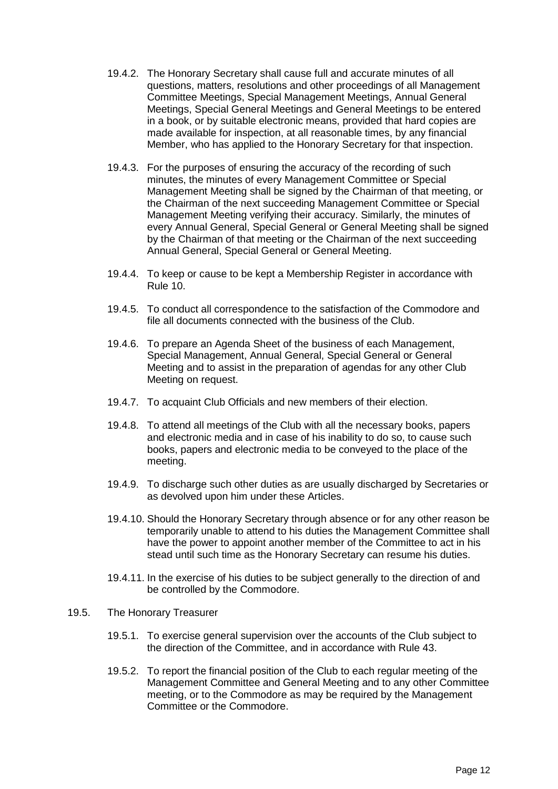- 19.4.2. The Honorary Secretary shall cause full and accurate minutes of all questions, matters, resolutions and other proceedings of all Management Committee Meetings, Special Management Meetings, Annual General Meetings, Special General Meetings and General Meetings to be entered in a book, or by suitable electronic means, provided that hard copies are made available for inspection, at all reasonable times, by any financial Member, who has applied to the Honorary Secretary for that inspection.
- 19.4.3. For the purposes of ensuring the accuracy of the recording of such minutes, the minutes of every Management Committee or Special Management Meeting shall be signed by the Chairman of that meeting, or the Chairman of the next succeeding Management Committee or Special Management Meeting verifying their accuracy. Similarly, the minutes of every Annual General, Special General or General Meeting shall be signed by the Chairman of that meeting or the Chairman of the next succeeding Annual General, Special General or General Meeting.
- 19.4.4. To keep or cause to be kept a Membership Register in accordance with Rule 10.
- 19.4.5. To conduct all correspondence to the satisfaction of the Commodore and file all documents connected with the business of the Club.
- 19.4.6. To prepare an Agenda Sheet of the business of each Management, Special Management, Annual General, Special General or General Meeting and to assist in the preparation of agendas for any other Club Meeting on request.
- 19.4.7. To acquaint Club Officials and new members of their election.
- 19.4.8. To attend all meetings of the Club with all the necessary books, papers and electronic media and in case of his inability to do so, to cause such books, papers and electronic media to be conveyed to the place of the meeting.
- 19.4.9. To discharge such other duties as are usually discharged by Secretaries or as devolved upon him under these Articles.
- 19.4.10. Should the Honorary Secretary through absence or for any other reason be temporarily unable to attend to his duties the Management Committee shall have the power to appoint another member of the Committee to act in his stead until such time as the Honorary Secretary can resume his duties.
- 19.4.11. In the exercise of his duties to be subject generally to the direction of and be controlled by the Commodore.
- 19.5. The Honorary Treasurer
	- 19.5.1. To exercise general supervision over the accounts of the Club subject to the direction of the Committee, and in accordance with Rule 43.
	- 19.5.2. To report the financial position of the Club to each regular meeting of the Management Committee and General Meeting and to any other Committee meeting, or to the Commodore as may be required by the Management Committee or the Commodore.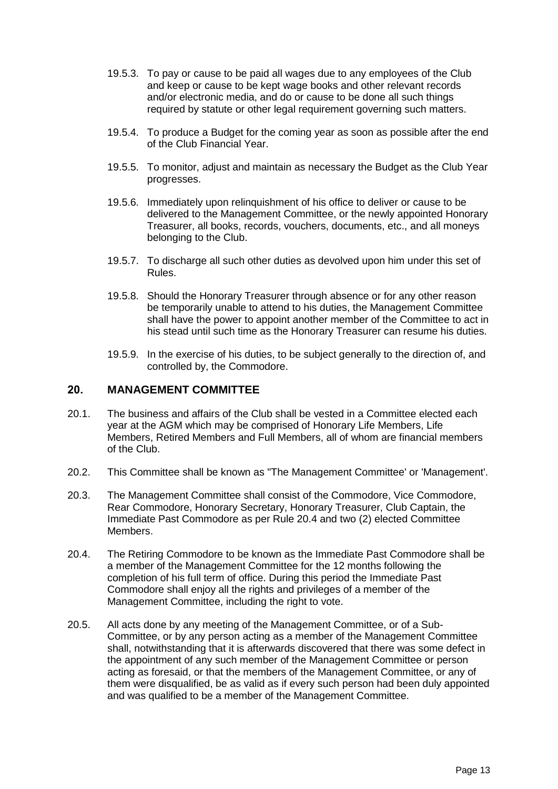- 19.5.3. To pay or cause to be paid all wages due to any employees of the Club and keep or cause to be kept wage books and other relevant records and/or electronic media, and do or cause to be done all such things required by statute or other legal requirement governing such matters.
- 19.5.4. To produce a Budget for the coming year as soon as possible after the end of the Club Financial Year.
- 19.5.5. To monitor, adjust and maintain as necessary the Budget as the Club Year progresses.
- 19.5.6. Immediately upon relinquishment of his office to deliver or cause to be delivered to the Management Committee, or the newly appointed Honorary Treasurer, all books, records, vouchers, documents, etc., and all moneys belonging to the Club.
- 19.5.7. To discharge all such other duties as devolved upon him under this set of Rules.
- 19.5.8. Should the Honorary Treasurer through absence or for any other reason be temporarily unable to attend to his duties, the Management Committee shall have the power to appoint another member of the Committee to act in his stead until such time as the Honorary Treasurer can resume his duties.
- 19.5.9. In the exercise of his duties, to be subject generally to the direction of, and controlled by, the Commodore.

#### **20. MANAGEMENT COMMITTEE**

- 20.1. The business and affairs of the Club shall be vested in a Committee elected each year at the AGM which may be comprised of Honorary Life Members, Life Members, Retired Members and Full Members, all of whom are financial members of the Club.
- 20.2. This Committee shall be known as "The Management Committee' or 'Management'.
- 20.3. The Management Committee shall consist of the Commodore, Vice Commodore, Rear Commodore, Honorary Secretary, Honorary Treasurer, Club Captain, the Immediate Past Commodore as per Rule 20.4 and two (2) elected Committee Members.
- 20.4. The Retiring Commodore to be known as the Immediate Past Commodore shall be a member of the Management Committee for the 12 months following the completion of his full term of office. During this period the Immediate Past Commodore shall enjoy all the rights and privileges of a member of the Management Committee, including the right to vote.
- 20.5. All acts done by any meeting of the Management Committee, or of a Sub-Committee, or by any person acting as a member of the Management Committee shall, notwithstanding that it is afterwards discovered that there was some defect in the appointment of any such member of the Management Committee or person acting as foresaid, or that the members of the Management Committee, or any of them were disqualified, be as valid as if every such person had been duly appointed and was qualified to be a member of the Management Committee.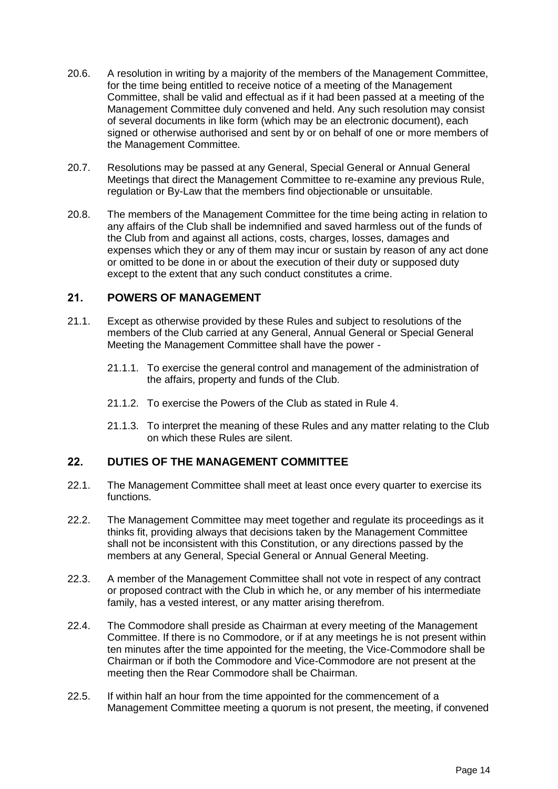- 20.6. A resolution in writing by a majority of the members of the Management Committee, for the time being entitled to receive notice of a meeting of the Management Committee, shall be valid and effectual as if it had been passed at a meeting of the Management Committee duly convened and held. Any such resolution may consist of several documents in like form (which may be an electronic document), each signed or otherwise authorised and sent by or on behalf of one or more members of the Management Committee.
- 20.7. Resolutions may be passed at any General, Special General or Annual General Meetings that direct the Management Committee to re-examine any previous Rule, regulation or By-Law that the members find objectionable or unsuitable.
- 20.8. The members of the Management Committee for the time being acting in relation to any affairs of the Club shall be indemnified and saved harmless out of the funds of the Club from and against all actions, costs, charges, losses, damages and expenses which they or any of them may incur or sustain by reason of any act done or omitted to be done in or about the execution of their duty or supposed duty except to the extent that any such conduct constitutes a crime.

### **21. POWERS OF MANAGEMENT**

- 21.1. Except as otherwise provided by these Rules and subject to resolutions of the members of the Club carried at any General, Annual General or Special General Meeting the Management Committee shall have the power -
	- 21.1.1. To exercise the general control and management of the administration of the affairs, property and funds of the Club.
	- 21.1.2. To exercise the Powers of the Club as stated in Rule 4.
	- 21.1.3. To interpret the meaning of these Rules and any matter relating to the Club on which these Rules are silent.

# **22. DUTIES OF THE MANAGEMENT COMMITTEE**

- 22.1. The Management Committee shall meet at least once every quarter to exercise its functions.
- 22.2. The Management Committee may meet together and regulate its proceedings as it thinks fit, providing always that decisions taken by the Management Committee shall not be inconsistent with this Constitution, or any directions passed by the members at any General, Special General or Annual General Meeting.
- 22.3. A member of the Management Committee shall not vote in respect of any contract or proposed contract with the Club in which he, or any member of his intermediate family, has a vested interest, or any matter arising therefrom.
- 22.4. The Commodore shall preside as Chairman at every meeting of the Management Committee. If there is no Commodore, or if at any meetings he is not present within ten minutes after the time appointed for the meeting, the Vice-Commodore shall be Chairman or if both the Commodore and Vice-Commodore are not present at the meeting then the Rear Commodore shall be Chairman.
- 22.5. If within half an hour from the time appointed for the commencement of a Management Committee meeting a quorum is not present, the meeting, if convened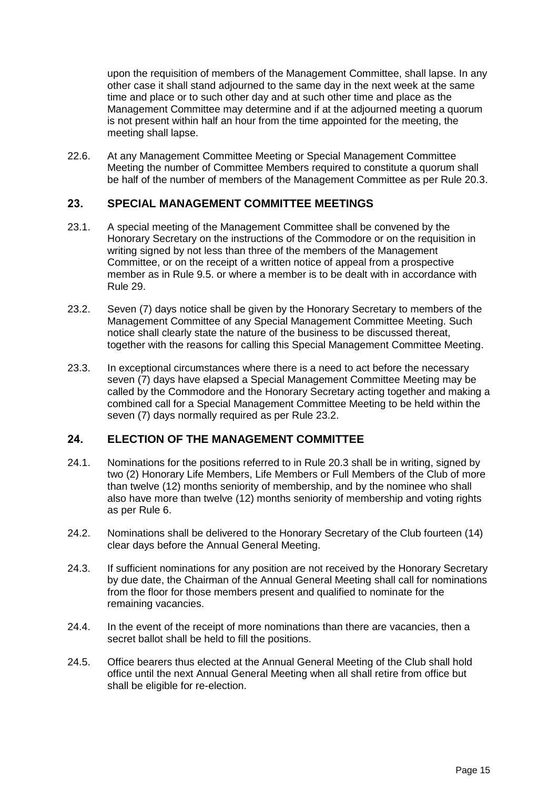upon the requisition of members of the Management Committee, shall lapse. In any other case it shall stand adjourned to the same day in the next week at the same time and place or to such other day and at such other time and place as the Management Committee may determine and if at the adjourned meeting a quorum is not present within half an hour from the time appointed for the meeting, the meeting shall lapse.

22.6. At any Management Committee Meeting or Special Management Committee Meeting the number of Committee Members required to constitute a quorum shall be half of the number of members of the Management Committee as per Rule 20.3.

### **23. SPECIAL MANAGEMENT COMMITTEE MEETINGS**

- 23.1. A special meeting of the Management Committee shall be convened by the Honorary Secretary on the instructions of the Commodore or on the requisition in writing signed by not less than three of the members of the Management Committee, or on the receipt of a written notice of appeal from a prospective member as in Rule 9.5. or where a member is to be dealt with in accordance with Rule 29.
- 23.2. Seven (7) days notice shall be given by the Honorary Secretary to members of the Management Committee of any Special Management Committee Meeting. Such notice shall clearly state the nature of the business to be discussed thereat, together with the reasons for calling this Special Management Committee Meeting.
- 23.3. In exceptional circumstances where there is a need to act before the necessary seven (7) days have elapsed a Special Management Committee Meeting may be called by the Commodore and the Honorary Secretary acting together and making a combined call for a Special Management Committee Meeting to be held within the seven (7) days normally required as per Rule 23.2.

# **24. ELECTION OF THE MANAGEMENT COMMITTEE**

- 24.1. Nominations for the positions referred to in Rule 20.3 shall be in writing, signed by two (2) Honorary Life Members, Life Members or Full Members of the Club of more than twelve (12) months seniority of membership, and by the nominee who shall also have more than twelve (12) months seniority of membership and voting rights as per Rule 6.
- 24.2. Nominations shall be delivered to the Honorary Secretary of the Club fourteen (14) clear days before the Annual General Meeting.
- 24.3. If sufficient nominations for any position are not received by the Honorary Secretary by due date, the Chairman of the Annual General Meeting shall call for nominations from the floor for those members present and qualified to nominate for the remaining vacancies.
- 24.4. In the event of the receipt of more nominations than there are vacancies, then a secret ballot shall be held to fill the positions.
- 24.5. Office bearers thus elected at the Annual General Meeting of the Club shall hold office until the next Annual General Meeting when all shall retire from office but shall be eligible for re-election.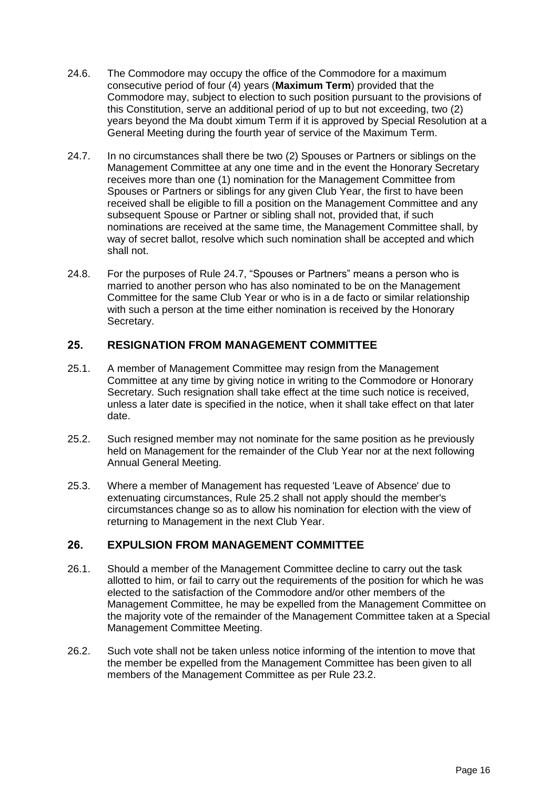- 24.6. The Commodore may occupy the office of the Commodore for a maximum consecutive period of four (4) years (**Maximum Term**) provided that the Commodore may, subject to election to such position pursuant to the provisions of this Constitution, serve an additional period of up to but not exceeding, two (2) years beyond the Ma doubt ximum Term if it is approved by Special Resolution at a General Meeting during the fourth year of service of the Maximum Term.
- 24.7. In no circumstances shall there be two (2) Spouses or Partners or siblings on the Management Committee at any one time and in the event the Honorary Secretary receives more than one (1) nomination for the Management Committee from Spouses or Partners or siblings for any given Club Year, the first to have been received shall be eligible to fill a position on the Management Committee and any subsequent Spouse or Partner or sibling shall not, provided that, if such nominations are received at the same time, the Management Committee shall, by way of secret ballot, resolve which such nomination shall be accepted and which shall not.
- 24.8. For the purposes of Rule 24.7, "Spouses or Partners" means a person who is married to another person who has also nominated to be on the Management Committee for the same Club Year or who is in a de facto or similar relationship with such a person at the time either nomination is received by the Honorary Secretary.

# **25. RESIGNATION FROM MANAGEMENT COMMITTEE**

- 25.1. A member of Management Committee may resign from the Management Committee at any time by giving notice in writing to the Commodore or Honorary Secretary. Such resignation shall take effect at the time such notice is received, unless a later date is specified in the notice, when it shall take effect on that later date.
- 25.2. Such resigned member may not nominate for the same position as he previously held on Management for the remainder of the Club Year nor at the next following Annual General Meeting.
- 25.3. Where a member of Management has requested 'Leave of Absence' due to extenuating circumstances, Rule 25.2 shall not apply should the member's circumstances change so as to allow his nomination for election with the view of returning to Management in the next Club Year.

# **26. EXPULSION FROM MANAGEMENT COMMITTEE**

- 26.1. Should a member of the Management Committee decline to carry out the task allotted to him, or fail to carry out the requirements of the position for which he was elected to the satisfaction of the Commodore and/or other members of the Management Committee, he may be expelled from the Management Committee on the majority vote of the remainder of the Management Committee taken at a Special Management Committee Meeting.
- 26.2. Such vote shall not be taken unless notice informing of the intention to move that the member be expelled from the Management Committee has been given to all members of the Management Committee as per Rule 23.2.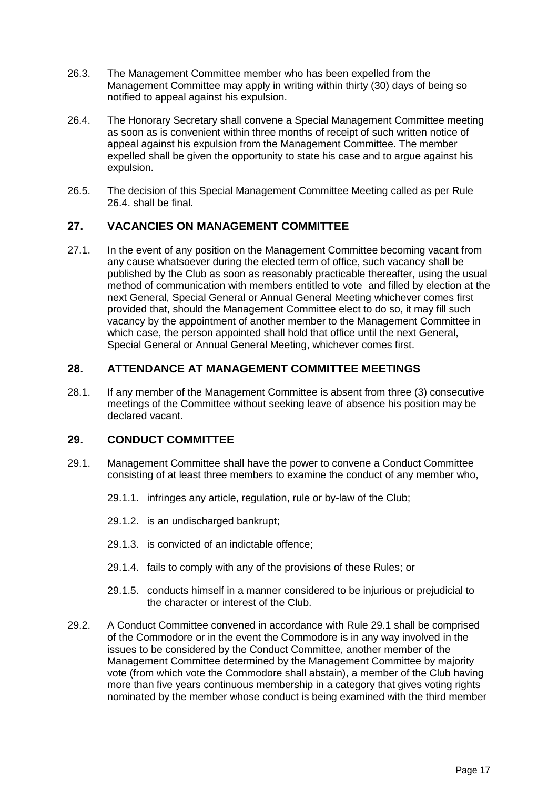- 26.3. The Management Committee member who has been expelled from the Management Committee may apply in writing within thirty (30) days of being so notified to appeal against his expulsion.
- 26.4. The Honorary Secretary shall convene a Special Management Committee meeting as soon as is convenient within three months of receipt of such written notice of appeal against his expulsion from the Management Committee. The member expelled shall be given the opportunity to state his case and to argue against his expulsion.
- 26.5. The decision of this Special Management Committee Meeting called as per Rule 26.4. shall be final.

# **27. VACANCIES ON MANAGEMENT COMMITTEE**

27.1. In the event of any position on the Management Committee becoming vacant from any cause whatsoever during the elected term of office, such vacancy shall be published by the Club as soon as reasonably practicable thereafter, using the usual method of communication with members entitled to vote and filled by election at the next General, Special General or Annual General Meeting whichever comes first provided that, should the Management Committee elect to do so, it may fill such vacancy by the appointment of another member to the Management Committee in which case, the person appointed shall hold that office until the next General, Special General or Annual General Meeting, whichever comes first.

# **28. ATTENDANCE AT MANAGEMENT COMMITTEE MEETINGS**

28.1. If any member of the Management Committee is absent from three (3) consecutive meetings of the Committee without seeking leave of absence his position may be declared vacant.

# **29. CONDUCT COMMITTEE**

- 29.1. Management Committee shall have the power to convene a Conduct Committee consisting of at least three members to examine the conduct of any member who,
	- 29.1.1. infringes any article, regulation, rule or by-law of the Club;
	- 29.1.2. is an undischarged bankrupt;
	- 29.1.3. is convicted of an indictable offence;
	- 29.1.4. fails to comply with any of the provisions of these Rules; or
	- 29.1.5. conducts himself in a manner considered to be injurious or prejudicial to the character or interest of the Club.
- 29.2. A Conduct Committee convened in accordance with Rule 29.1 shall be comprised of the Commodore or in the event the Commodore is in any way involved in the issues to be considered by the Conduct Committee, another member of the Management Committee determined by the Management Committee by majority vote (from which vote the Commodore shall abstain), a member of the Club having more than five years continuous membership in a category that gives voting rights nominated by the member whose conduct is being examined with the third member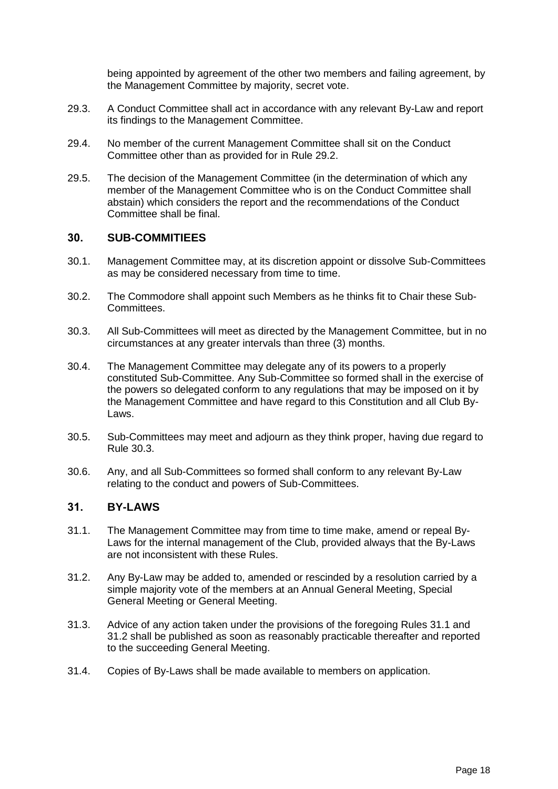being appointed by agreement of the other two members and failing agreement, by the Management Committee by majority, secret vote.

- 29.3. A Conduct Committee shall act in accordance with any relevant By-Law and report its findings to the Management Committee.
- 29.4. No member of the current Management Committee shall sit on the Conduct Committee other than as provided for in Rule 29.2.
- 29.5. The decision of the Management Committee (in the determination of which any member of the Management Committee who is on the Conduct Committee shall abstain) which considers the report and the recommendations of the Conduct Committee shall be final.

#### **30. SUB-COMMITIEES**

- 30.1. Management Committee may, at its discretion appoint or dissolve Sub-Committees as may be considered necessary from time to time.
- 30.2. The Commodore shall appoint such Members as he thinks fit to Chair these Sub-Committees.
- 30.3. All Sub-Committees will meet as directed by the Management Committee, but in no circumstances at any greater intervals than three (3) months.
- 30.4. The Management Committee may delegate any of its powers to a properly constituted Sub-Committee. Any Sub-Committee so formed shall in the exercise of the powers so delegated conform to any regulations that may be imposed on it by the Management Committee and have regard to this Constitution and all Club By-Laws.
- 30.5. Sub-Committees may meet and adjourn as they think proper, having due regard to Rule 30.3.
- 30.6. Any, and all Sub-Committees so formed shall conform to any relevant By-Law relating to the conduct and powers of Sub-Committees.

### **31. BY-LAWS**

- 31.1. The Management Committee may from time to time make, amend or repeal By-Laws for the internal management of the Club, provided always that the By-Laws are not inconsistent with these Rules.
- 31.2. Any By-Law may be added to, amended or rescinded by a resolution carried by a simple majority vote of the members at an Annual General Meeting, Special General Meeting or General Meeting.
- 31.3. Advice of any action taken under the provisions of the foregoing Rules 31.1 and 31.2 shall be published as soon as reasonably practicable thereafter and reported to the succeeding General Meeting.
- 31.4. Copies of By-Laws shall be made available to members on application.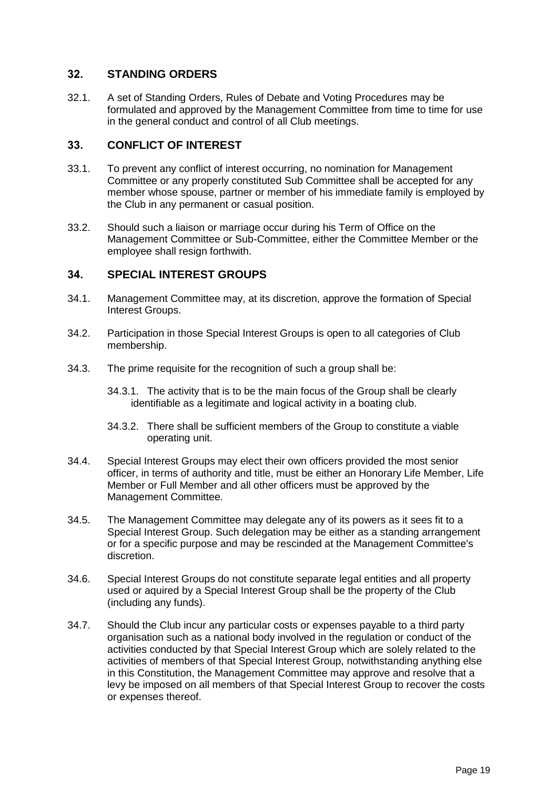# **32. STANDING ORDERS**

32.1. A set of Standing Orders, Rules of Debate and Voting Procedures may be formulated and approved by the Management Committee from time to time for use in the general conduct and control of all Club meetings.

### **33. CONFLICT OF INTEREST**

- 33.1. To prevent any conflict of interest occurring, no nomination for Management Committee or any properly constituted Sub Committee shall be accepted for any member whose spouse, partner or member of his immediate family is employed by the Club in any permanent or casual position.
- 33.2. Should such a liaison or marriage occur during his Term of Office on the Management Committee or Sub-Committee, either the Committee Member or the employee shall resign forthwith.

### **34. SPECIAL INTEREST GROUPS**

- 34.1. Management Committee may, at its discretion, approve the formation of Special Interest Groups.
- 34.2. Participation in those Special Interest Groups is open to all categories of Club membership.
- 34.3. The prime requisite for the recognition of such a group shall be:
	- 34.3.1. The activity that is to be the main focus of the Group shall be clearly identifiable as a legitimate and logical activity in a boating club.
	- 34.3.2. There shall be sufficient members of the Group to constitute a viable operating unit.
- 34.4. Special Interest Groups may elect their own officers provided the most senior officer, in terms of authority and title, must be either an Honorary Life Member, Life Member or Full Member and all other officers must be approved by the Management Committee.
- 34.5. The Management Committee may delegate any of its powers as it sees fit to a Special Interest Group. Such delegation may be either as a standing arrangement or for a specific purpose and may be rescinded at the Management Committee's discretion.
- 34.6. Special Interest Groups do not constitute separate legal entities and all property used or aquired by a Special Interest Group shall be the property of the Club (including any funds).
- 34.7. Should the Club incur any particular costs or expenses payable to a third party organisation such as a national body involved in the regulation or conduct of the activities conducted by that Special Interest Group which are solely related to the activities of members of that Special Interest Group, notwithstanding anything else in this Constitution, the Management Committee may approve and resolve that a levy be imposed on all members of that Special Interest Group to recover the costs or expenses thereof.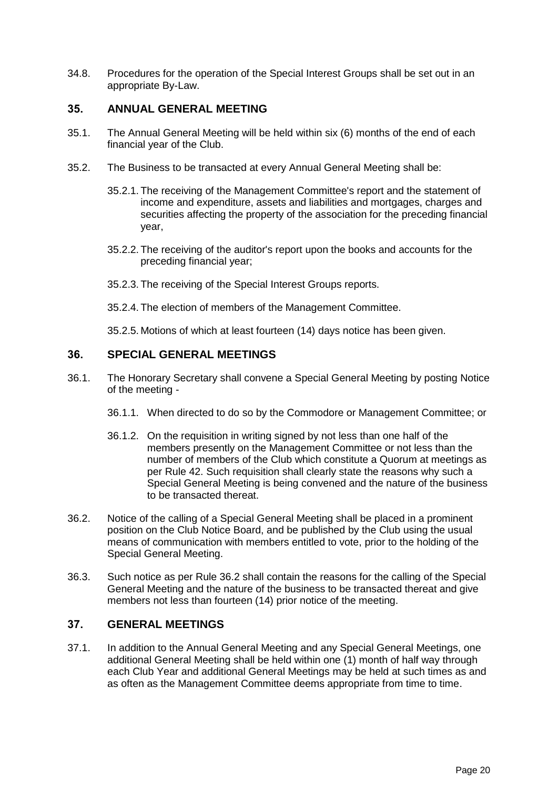34.8. Procedures for the operation of the Special Interest Groups shall be set out in an appropriate By-Law.

### **35. ANNUAL GENERAL MEETING**

- 35.1. The Annual General Meeting will be held within six (6) months of the end of each financial year of the Club.
- 35.2. The Business to be transacted at every Annual General Meeting shall be:
	- 35.2.1. The receiving of the Management Committee's report and the statement of income and expenditure, assets and liabilities and mortgages, charges and securities affecting the property of the association for the preceding financial year,
	- 35.2.2. The receiving of the auditor's report upon the books and accounts for the preceding financial year;
	- 35.2.3. The receiving of the Special Interest Groups reports.
	- 35.2.4. The election of members of the Management Committee.

35.2.5. Motions of which at least fourteen (14) days notice has been given.

### **36. SPECIAL GENERAL MEETINGS**

- 36.1. The Honorary Secretary shall convene a Special General Meeting by posting Notice of the meeting -
	- 36.1.1. When directed to do so by the Commodore or Management Committee; or
	- 36.1.2. On the requisition in writing signed by not less than one half of the members presently on the Management Committee or not less than the number of members of the Club which constitute a Quorum at meetings as per Rule 42. Such requisition shall clearly state the reasons why such a Special General Meeting is being convened and the nature of the business to be transacted thereat.
- 36.2. Notice of the calling of a Special General Meeting shall be placed in a prominent position on the Club Notice Board, and be published by the Club using the usual means of communication with members entitled to vote, prior to the holding of the Special General Meeting.
- 36.3. Such notice as per Rule 36.2 shall contain the reasons for the calling of the Special General Meeting and the nature of the business to be transacted thereat and give members not less than fourteen (14) prior notice of the meeting.

### **37. GENERAL MEETINGS**

37.1. In addition to the Annual General Meeting and any Special General Meetings, one additional General Meeting shall be held within one (1) month of half way through each Club Year and additional General Meetings may be held at such times as and as often as the Management Committee deems appropriate from time to time.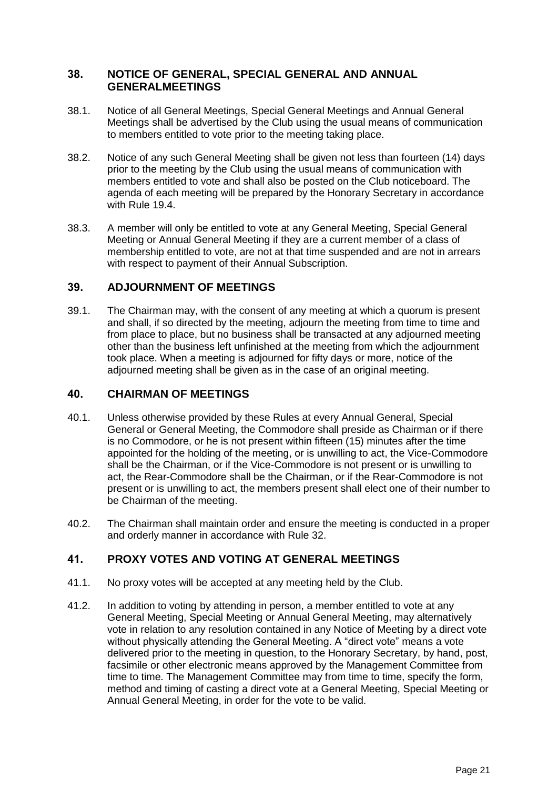# **38. NOTICE OF GENERAL, SPECIAL GENERAL AND ANNUAL GENERALMEETINGS**

- 38.1. Notice of all General Meetings, Special General Meetings and Annual General Meetings shall be advertised by the Club using the usual means of communication to members entitled to vote prior to the meeting taking place.
- 38.2. Notice of any such General Meeting shall be given not less than fourteen (14) days prior to the meeting by the Club using the usual means of communication with members entitled to vote and shall also be posted on the Club noticeboard. The agenda of each meeting will be prepared by the Honorary Secretary in accordance with Rule 19.4.
- 38.3. A member will only be entitled to vote at any General Meeting, Special General Meeting or Annual General Meeting if they are a current member of a class of membership entitled to vote, are not at that time suspended and are not in arrears with respect to payment of their Annual Subscription.

### **39. ADJOURNMENT OF MEETINGS**

39.1. The Chairman may, with the consent of any meeting at which a quorum is present and shall, if so directed by the meeting, adjourn the meeting from time to time and from place to place, but no business shall be transacted at any adjourned meeting other than the business left unfinished at the meeting from which the adjournment took place. When a meeting is adjourned for fifty days or more, notice of the adjourned meeting shall be given as in the case of an original meeting.

### **40. CHAIRMAN OF MEETINGS**

- 40.1. Unless otherwise provided by these Rules at every Annual General, Special General or General Meeting, the Commodore shall preside as Chairman or if there is no Commodore, or he is not present within fifteen (15) minutes after the time appointed for the holding of the meeting, or is unwilling to act, the Vice-Commodore shall be the Chairman, or if the Vice-Commodore is not present or is unwilling to act, the Rear-Commodore shall be the Chairman, or if the Rear-Commodore is not present or is unwilling to act, the members present shall elect one of their number to be Chairman of the meeting.
- 40.2. The Chairman shall maintain order and ensure the meeting is conducted in a proper and orderly manner in accordance with Rule 32.

# **41. PROXY VOTES AND VOTING AT GENERAL MEETINGS**

- 41.1. No proxy votes will be accepted at any meeting held by the Club.
- 41.2. In addition to voting by attending in person, a member entitled to vote at any General Meeting, Special Meeting or Annual General Meeting, may alternatively vote in relation to any resolution contained in any Notice of Meeting by a direct vote without physically attending the General Meeting. A "direct vote" means a vote delivered prior to the meeting in question, to the Honorary Secretary, by hand, post, facsimile or other electronic means approved by the Management Committee from time to time. The Management Committee may from time to time, specify the form, method and timing of casting a direct vote at a General Meeting, Special Meeting or Annual General Meeting, in order for the vote to be valid.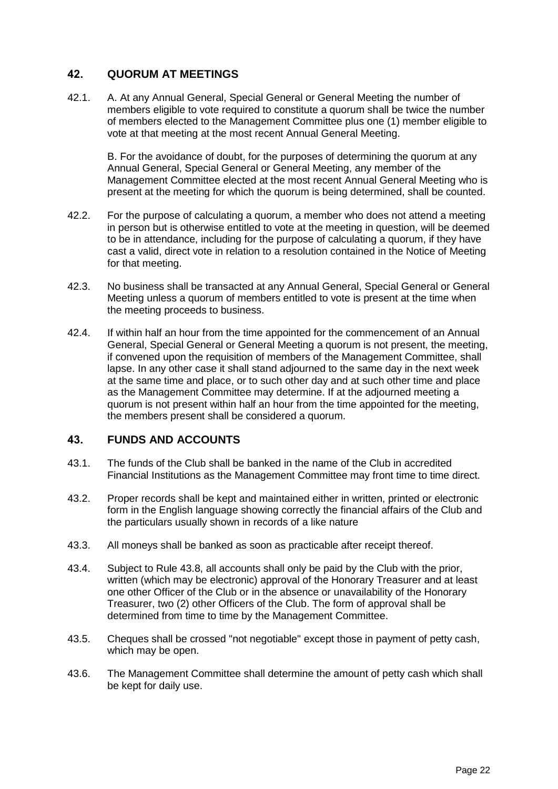# **42. QUORUM AT MEETINGS**

42.1. A. At any Annual General, Special General or General Meeting the number of members eligible to vote required to constitute a quorum shall be twice the number of members elected to the Management Committee plus one (1) member eligible to vote at that meeting at the most recent Annual General Meeting.

B. For the avoidance of doubt, for the purposes of determining the quorum at any Annual General, Special General or General Meeting, any member of the Management Committee elected at the most recent Annual General Meeting who is present at the meeting for which the quorum is being determined, shall be counted.

- 42.2. For the purpose of calculating a quorum, a member who does not attend a meeting in person but is otherwise entitled to vote at the meeting in question, will be deemed to be in attendance, including for the purpose of calculating a quorum, if they have cast a valid, direct vote in relation to a resolution contained in the Notice of Meeting for that meeting.
- 42.3. No business shall be transacted at any Annual General, Special General or General Meeting unless a quorum of members entitled to vote is present at the time when the meeting proceeds to business.
- 42.4. If within half an hour from the time appointed for the commencement of an Annual General, Special General or General Meeting a quorum is not present, the meeting, if convened upon the requisition of members of the Management Committee, shall lapse. In any other case it shall stand adjourned to the same day in the next week at the same time and place, or to such other day and at such other time and place as the Management Committee may determine. If at the adjourned meeting a quorum is not present within half an hour from the time appointed for the meeting, the members present shall be considered a quorum.

# **43. FUNDS AND ACCOUNTS**

- 43.1. The funds of the Club shall be banked in the name of the Club in accredited Financial Institutions as the Management Committee may front time to time direct.
- 43.2. Proper records shall be kept and maintained either in written, printed or electronic form in the English language showing correctly the financial affairs of the Club and the particulars usually shown in records of a like nature
- 43.3. All moneys shall be banked as soon as practicable after receipt thereof.
- 43.4. Subject to Rule 43.8, all accounts shall only be paid by the Club with the prior, written (which may be electronic) approval of the Honorary Treasurer and at least one other Officer of the Club or in the absence or unavailability of the Honorary Treasurer, two (2) other Officers of the Club. The form of approval shall be determined from time to time by the Management Committee.
- 43.5. Cheques shall be crossed "not negotiable" except those in payment of petty cash, which may be open.
- 43.6. The Management Committee shall determine the amount of petty cash which shall be kept for daily use.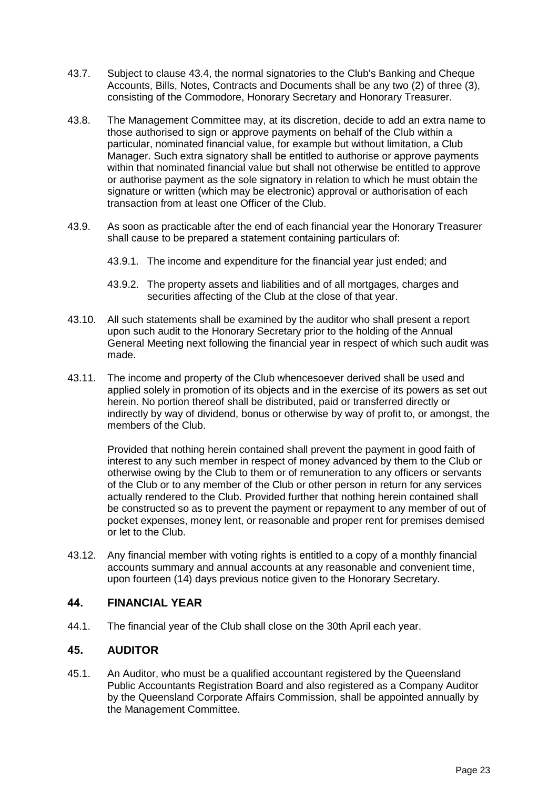- 43.7. Subject to clause 43.4, the normal signatories to the Club's Banking and Cheque Accounts, Bills, Notes, Contracts and Documents shall be any two (2) of three (3), consisting of the Commodore, Honorary Secretary and Honorary Treasurer.
- 43.8. The Management Committee may, at its discretion, decide to add an extra name to those authorised to sign or approve payments on behalf of the Club within a particular, nominated financial value, for example but without limitation, a Club Manager. Such extra signatory shall be entitled to authorise or approve payments within that nominated financial value but shall not otherwise be entitled to approve or authorise payment as the sole signatory in relation to which he must obtain the signature or written (which may be electronic) approval or authorisation of each transaction from at least one Officer of the Club.
- 43.9. As soon as practicable after the end of each financial year the Honorary Treasurer shall cause to be prepared a statement containing particulars of:
	- 43.9.1. The income and expenditure for the financial year just ended; and
	- 43.9.2. The property assets and liabilities and of all mortgages, charges and securities affecting of the Club at the close of that year.
- 43.10. All such statements shall be examined by the auditor who shall present a report upon such audit to the Honorary Secretary prior to the holding of the Annual General Meeting next following the financial year in respect of which such audit was made.
- 43.11. The income and property of the Club whencesoever derived shall be used and applied solely in promotion of its objects and in the exercise of its powers as set out herein. No portion thereof shall be distributed, paid or transferred directly or indirectly by way of dividend, bonus or otherwise by way of profit to, or amongst, the members of the Club.

Provided that nothing herein contained shall prevent the payment in good faith of interest to any such member in respect of money advanced by them to the Club or otherwise owing by the Club to them or of remuneration to any officers or servants of the Club or to any member of the Club or other person in return for any services actually rendered to the Club. Provided further that nothing herein contained shall be constructed so as to prevent the payment or repayment to any member of out of pocket expenses, money lent, or reasonable and proper rent for premises demised or let to the Club.

43.12. Any financial member with voting rights is entitled to a copy of a monthly financial accounts summary and annual accounts at any reasonable and convenient time, upon fourteen (14) days previous notice given to the Honorary Secretary.

# **44. FINANCIAL YEAR**

44.1. The financial year of the Club shall close on the 30th April each year.

# **45. AUDITOR**

45.1. An Auditor, who must be a qualified accountant registered by the Queensland Public Accountants Registration Board and also registered as a Company Auditor by the Queensland Corporate Affairs Commission, shall be appointed annually by the Management Committee.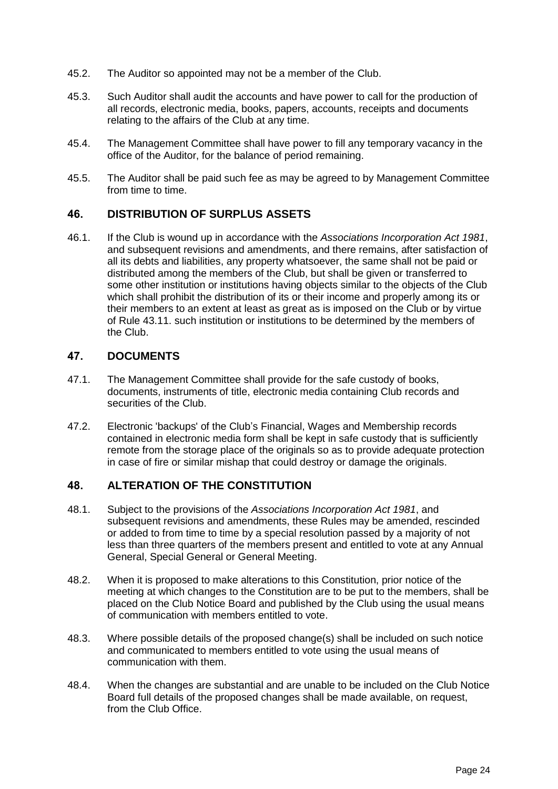- 45.2. The Auditor so appointed may not be a member of the Club.
- 45.3. Such Auditor shall audit the accounts and have power to call for the production of all records, electronic media, books, papers, accounts, receipts and documents relating to the affairs of the Club at any time.
- 45.4. The Management Committee shall have power to fill any temporary vacancy in the office of the Auditor, for the balance of period remaining.
- 45.5. The Auditor shall be paid such fee as may be agreed to by Management Committee from time to time.

### **46. DISTRIBUTION OF SURPLUS ASSETS**

46.1. If the Club is wound up in accordance with the *Associations Incorporation Act 1981*, and subsequent revisions and amendments, and there remains, after satisfaction of all its debts and liabilities, any property whatsoever, the same shall not be paid or distributed among the members of the Club, but shall be given or transferred to some other institution or institutions having objects similar to the objects of the Club which shall prohibit the distribution of its or their income and properly among its or their members to an extent at least as great as is imposed on the Club or by virtue of Rule 43.11. such institution or institutions to be determined by the members of the Club.

### **47. DOCUMENTS**

- 47.1. The Management Committee shall provide for the safe custody of books, documents, instruments of title, electronic media containing Club records and securities of the Club.
- 47.2. Electronic 'backups' of the Club's Financial, Wages and Membership records contained in electronic media form shall be kept in safe custody that is sufficiently remote from the storage place of the originals so as to provide adequate protection in case of fire or similar mishap that could destroy or damage the originals.

# **48. ALTERATION OF THE CONSTITUTION**

- 48.1. Subject to the provisions of the *Associations Incorporation Act 1981*, and subsequent revisions and amendments, these Rules may be amended, rescinded or added to from time to time by a special resolution passed by a majority of not less than three quarters of the members present and entitled to vote at any Annual General, Special General or General Meeting.
- 48.2. When it is proposed to make alterations to this Constitution, prior notice of the meeting at which changes to the Constitution are to be put to the members, shall be placed on the Club Notice Board and published by the Club using the usual means of communication with members entitled to vote.
- 48.3. Where possible details of the proposed change(s) shall be included on such notice and communicated to members entitled to vote using the usual means of communication with them.
- 48.4. When the changes are substantial and are unable to be included on the Club Notice Board full details of the proposed changes shall be made available, on request, from the Club Office.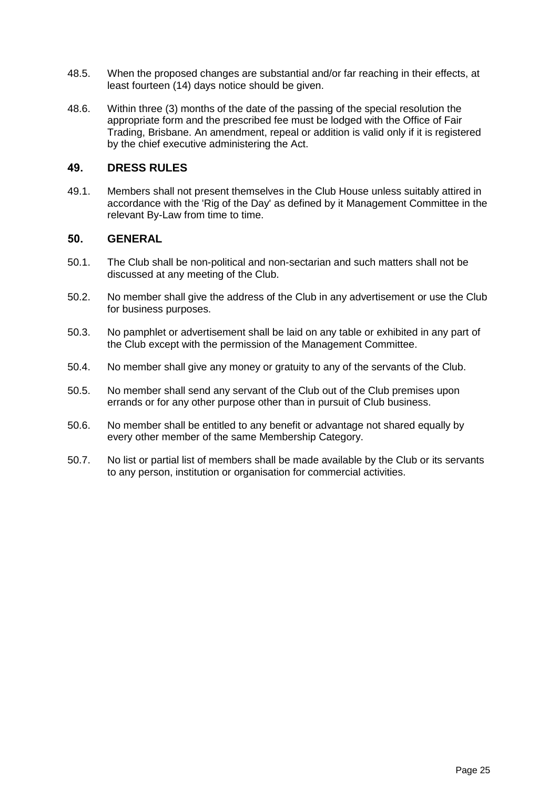- 48.5. When the proposed changes are substantial and/or far reaching in their effects, at least fourteen (14) days notice should be given.
- 48.6. Within three (3) months of the date of the passing of the special resolution the appropriate form and the prescribed fee must be lodged with the Office of Fair Trading, Brisbane. An amendment, repeal or addition is valid only if it is registered by the chief executive administering the Act.

### **49. DRESS RULES**

49.1. Members shall not present themselves in the Club House unless suitably attired in accordance with the 'Rig of the Day' as defined by it Management Committee in the relevant By-Law from time to time.

#### **50. GENERAL**

- 50.1. The Club shall be non-political and non-sectarian and such matters shall not be discussed at any meeting of the Club.
- 50.2. No member shall give the address of the Club in any advertisement or use the Club for business purposes.
- 50.3. No pamphlet or advertisement shall be laid on any table or exhibited in any part of the Club except with the permission of the Management Committee.
- 50.4. No member shall give any money or gratuity to any of the servants of the Club.
- 50.5. No member shall send any servant of the Club out of the Club premises upon errands or for any other purpose other than in pursuit of Club business.
- 50.6. No member shall be entitled to any benefit or advantage not shared equally by every other member of the same Membership Category.
- 50.7. No list or partial list of members shall be made available by the Club or its servants to any person, institution or organisation for commercial activities.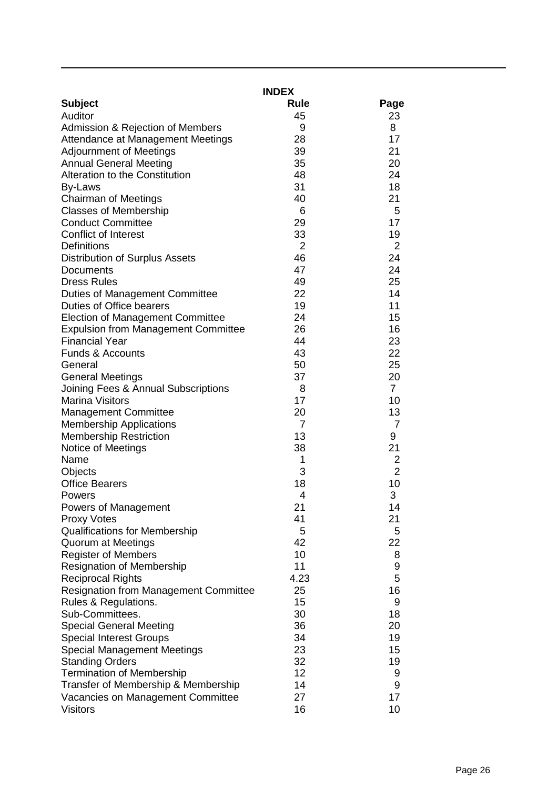|                                              | <b>INDEX</b>   |                |  |
|----------------------------------------------|----------------|----------------|--|
| <b>Subject</b>                               | Rule           | Page           |  |
| Auditor                                      | 45             | 23             |  |
| Admission & Rejection of Members             | 9              | 8              |  |
| Attendance at Management Meetings            | 28             | 17             |  |
| <b>Adjournment of Meetings</b>               | 39             | 21             |  |
| <b>Annual General Meeting</b>                | 35             | 20             |  |
| <b>Alteration to the Constitution</b>        | 48             | 24             |  |
| By-Laws                                      | 31             | 18             |  |
| <b>Chairman of Meetings</b>                  | 40             | 21             |  |
| <b>Classes of Membership</b>                 | 6              | 5              |  |
| <b>Conduct Committee</b>                     | 29             | 17             |  |
| <b>Conflict of Interest</b>                  | 33             | 19             |  |
| Definitions                                  | 2              | $\overline{2}$ |  |
| <b>Distribution of Surplus Assets</b>        | 46             | 24             |  |
| Documents                                    | 47             | 24             |  |
| <b>Dress Rules</b>                           | 49             | 25             |  |
| <b>Duties of Management Committee</b>        | 22             | 14             |  |
| Duties of Office bearers                     | 19             | 11             |  |
| <b>Election of Management Committee</b>      | 24             | 15             |  |
| <b>Expulsion from Management Committee</b>   | 26             | 16             |  |
| <b>Financial Year</b>                        | 44             | 23             |  |
| <b>Funds &amp; Accounts</b>                  | 43             | 22             |  |
| General                                      | 50             | 25             |  |
| <b>General Meetings</b>                      | 37             | 20             |  |
| Joining Fees & Annual Subscriptions          | 8              | $\overline{7}$ |  |
| <b>Marina Visitors</b>                       | 17             | 10             |  |
| <b>Management Committee</b>                  | 20             | 13             |  |
| <b>Membership Applications</b>               | $\overline{7}$ | $\overline{7}$ |  |
| <b>Membership Restriction</b>                | 13             | 9              |  |
| Notice of Meetings                           | 38             | 21             |  |
| Name                                         | 1              | $\overline{2}$ |  |
| Objects                                      | 3              | $\overline{2}$ |  |
| <b>Office Bearers</b>                        | 18             | 10             |  |
| Powers                                       | 4              | 3              |  |
| Powers of Management                         | 21             | 14             |  |
| <b>Proxy Votes</b>                           | 41             | 21             |  |
| <b>Qualifications for Membership</b>         | 5              | 5              |  |
| <b>Quorum at Meetings</b>                    | 42             | 22             |  |
| <b>Register of Members</b>                   | 10             | 8              |  |
| <b>Resignation of Membership</b>             | 11             | 9              |  |
| <b>Reciprocal Rights</b>                     | 4.23           | 5              |  |
| <b>Resignation from Management Committee</b> | 25             | 16             |  |
| Rules & Regulations.                         | 15             | 9              |  |
| Sub-Committees.                              | 30             | 18             |  |
| <b>Special General Meeting</b>               | 36             | 20             |  |
| <b>Special Interest Groups</b>               | 34             | 19             |  |
| <b>Special Management Meetings</b>           | 23             | 15             |  |
| <b>Standing Orders</b>                       | 32             | 19             |  |
| <b>Termination of Membership</b>             | 12             | 9              |  |
| Transfer of Membership & Membership          | 14             | 9              |  |
| Vacancies on Management Committee            | 27             | 17             |  |
| <b>Visitors</b>                              | 16             | 10             |  |
|                                              |                |                |  |